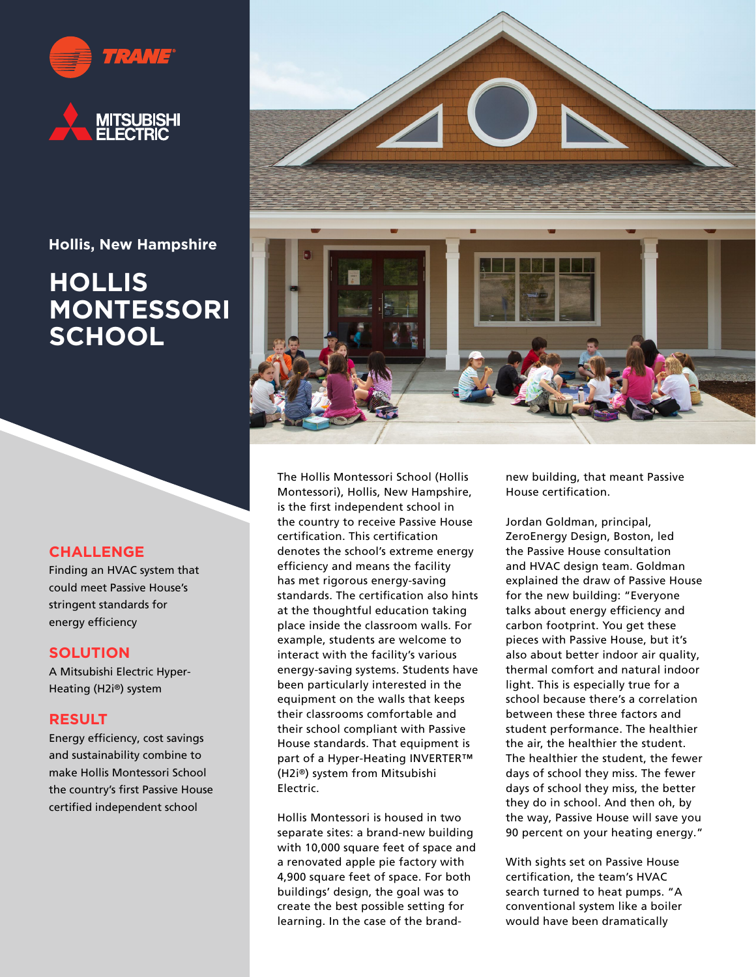

**Hollis, New Hampshire**

# **HOLLIS MONTESSORI SCHOOL**

## **CHALLENGE**

Finding an HVAC system that could meet Passive House's stringent standards for energy efficiency

#### **SOLUTION**

A Mitsubishi Electric Hyper-Heating (H2i®) system

### **RESULT**

Energy efficiency, cost savings and sustainability combine to make Hollis Montessori School the country's first Passive House certified independent school



The Hollis Montessori School (Hollis Montessori), Hollis, New Hampshire, is the first independent school in the country to receive Passive House certification. This certification denotes the school's extreme energy efficiency and means the facility has met rigorous energy-saving standards. The certification also hints at the thoughtful education taking place inside the classroom walls. For example, students are welcome to interact with the facility's various energy-saving systems. Students have been particularly interested in the equipment on the walls that keeps their classrooms comfortable and their school compliant with Passive House standards. That equipment is part of a Hyper-Heating INVERTER™ (H2i®) system from Mitsubishi Electric.

Hollis Montessori is housed in two separate sites: a brand-new building with 10,000 square feet of space and a renovated apple pie factory with 4,900 square feet of space. For both buildings' design, the goal was to create the best possible setting for learning. In the case of the brand-

new building, that meant Passive House certification.

Jordan Goldman, principal, ZeroEnergy Design, Boston, led the Passive House consultation and HVAC design team. Goldman explained the draw of Passive House for the new building: "Everyone talks about energy efficiency and carbon footprint. You get these pieces with Passive House, but it's also about better indoor air quality, thermal comfort and natural indoor light. This is especially true for a school because there's a correlation between these three factors and student performance. The healthier the air, the healthier the student. The healthier the student, the fewer days of school they miss. The fewer days of school they miss, the better they do in school. And then oh, by the way, Passive House will save you 90 percent on your heating energy."

With sights set on Passive House certification, the team's HVAC search turned to heat pumps. "A conventional system like a boiler would have been dramatically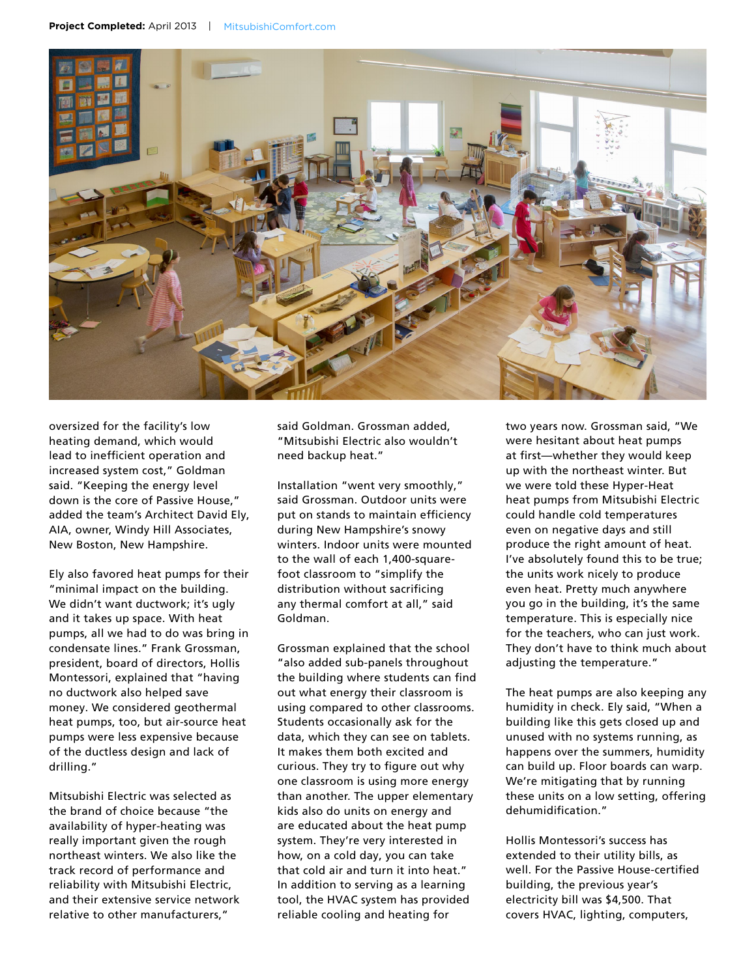

oversized for the facility's low heating demand, which would lead to inefficient operation and increased system cost," Goldman said. "Keeping the energy level down is the core of Passive House," added the team's Architect David Ely, AIA, owner, Windy Hill Associates, New Boston, New Hampshire.

Ely also favored heat pumps for their "minimal impact on the building. We didn't want ductwork; it's ugly and it takes up space. With heat pumps, all we had to do was bring in condensate lines." Frank Grossman, president, board of directors, Hollis Montessori, explained that "having no ductwork also helped save money. We considered geothermal heat pumps, too, but air-source heat pumps were less expensive because of the ductless design and lack of drilling."

Mitsubishi Electric was selected as the brand of choice because "the availability of hyper-heating was really important given the rough northeast winters. We also like the track record of performance and reliability with Mitsubishi Electric, and their extensive service network relative to other manufacturers,"

said Goldman. Grossman added, "Mitsubishi Electric also wouldn't need backup heat."

Installation "went very smoothly," said Grossman. Outdoor units were put on stands to maintain efficiency during New Hampshire's snowy winters. Indoor units were mounted to the wall of each 1,400-squarefoot classroom to "simplify the distribution without sacrificing any thermal comfort at all," said Goldman.

Grossman explained that the school "also added sub-panels throughout the building where students can find out what energy their classroom is using compared to other classrooms. Students occasionally ask for the data, which they can see on tablets. It makes them both excited and curious. They try to figure out why one classroom is using more energy than another. The upper elementary kids also do units on energy and are educated about the heat pump system. They're very interested in how, on a cold day, you can take that cold air and turn it into heat." In addition to serving as a learning tool, the HVAC system has provided reliable cooling and heating for

two years now. Grossman said, "We were hesitant about heat pumps at first—whether they would keep up with the northeast winter. But we were told these Hyper-Heat heat pumps from Mitsubishi Electric could handle cold temperatures even on negative days and still produce the right amount of heat. I've absolutely found this to be true; the units work nicely to produce even heat. Pretty much anywhere you go in the building, it's the same temperature. This is especially nice for the teachers, who can just work. They don't have to think much about adjusting the temperature."

The heat pumps are also keeping any humidity in check. Ely said, "When a building like this gets closed up and unused with no systems running, as happens over the summers, humidity can build up. Floor boards can warp. We're mitigating that by running these units on a low setting, offering dehumidification."

Hollis Montessori's success has extended to their utility bills, as well. For the Passive House-certified building, the previous year's electricity bill was \$4,500. That covers HVAC, lighting, computers,